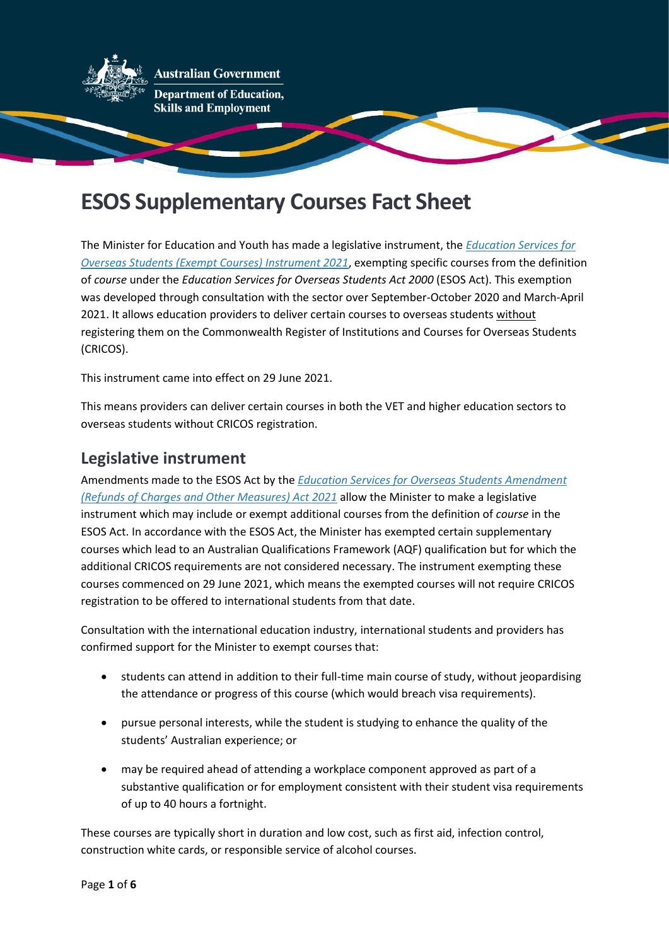

# **ESOS Supplementary Courses Fact Sheet**

The Minister for Education and Youth has made a legislative instrument, the *[Education Services for](https://www.legislation.gov.au/Details/F2021L00877)  [Overseas Students \(Exempt Courses\) Instrument 2021](https://www.legislation.gov.au/Details/F2021L00877)*, exempting specific courses from the definition of *course* under the *Education Services for Overseas Students Act 2000* (ESOS Act). This exemption was developed through consultation with the sector over September-October 2020 and March-April 2021. It allows education providers to deliver certain courses to overseas students without registering them on the Commonwealth Register of Institutions and Courses for Overseas Students (CRICOS).

This instrument came into effect on 29 June 2021.

This means providers can deliver certain courses in both the VET and higher education sectors to overseas students without CRICOS registration.

# **Legislative instrument**

Amendments made to the ESOS Act by the *[Education Services for Overseas Students Amendment](https://www.legislation.gov.au/Details/C2021A00018)  [\(Refunds of Charges and Other Measures\) Act 2021](https://www.legislation.gov.au/Details/C2021A00018)* allow the Minister to make a legislative instrument which may include or exempt additional courses from the definition of *course* in the ESOS Act. In accordance with the ESOS Act, the Minister has exempted certain supplementary courses which lead to an Australian Qualifications Framework (AQF) qualification but for which the additional CRICOS requirements are not considered necessary. The instrument exempting these courses commenced on 29 June 2021, which means the exempted courses will not require CRICOS registration to be offered to international students from that date.

Consultation with the international education industry, international students and providers has confirmed support for the Minister to exempt courses that:

- students can attend in addition to their full-time main course of study, without jeopardising the attendance or progress of this course (which would breach visa requirements).
- pursue personal interests, while the student is studying to enhance the quality of the students' Australian experience; or
- may be required ahead of attending a workplace component approved as part of a substantive qualification or for employment consistent with their student visa requirements of up to 40 hours a fortnight.

These courses are typically short in duration and low cost, such as first aid, infection control, construction white cards, or responsible service of alcohol courses.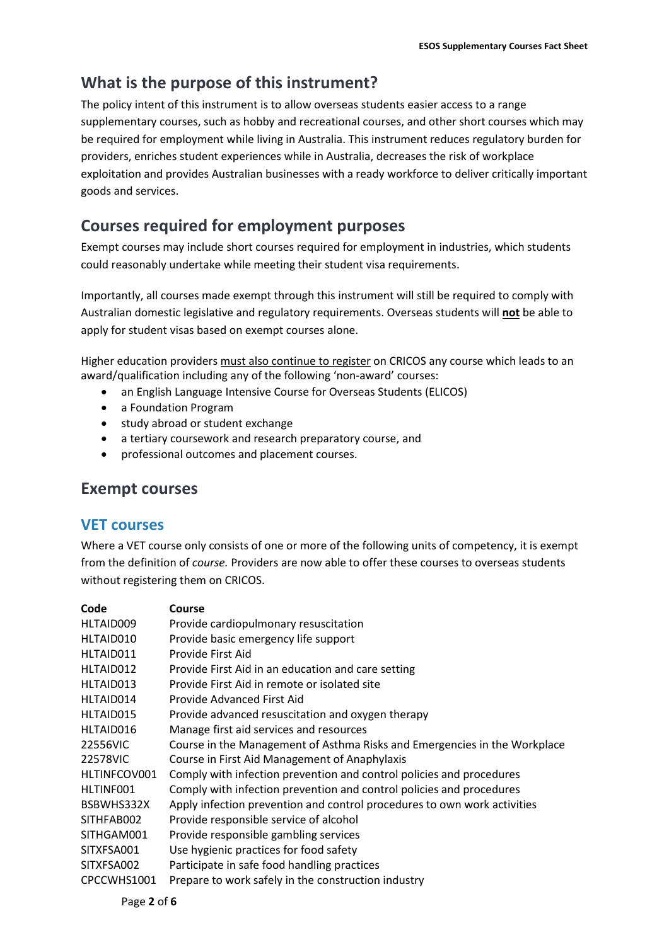# **What is the purpose of this instrument?**

The policy intent of this instrument is to allow overseas students easier access to a range supplementary courses, such as hobby and recreational courses, and other short courses which may be required for employment while living in Australia. This instrument reduces regulatory burden for providers, enriches student experiences while in Australia, decreases the risk of workplace exploitation and provides Australian businesses with a ready workforce to deliver critically important goods and services.

# **Courses required for employment purposes**

Exempt courses may include short courses required for employment in industries, which students could reasonably undertake while meeting their student visa requirements.

Importantly, all courses made exempt through this instrument will still be required to comply with Australian domestic legislative and regulatory requirements. Overseas students will **not** be able to apply for student visas based on exempt courses alone.

Higher education providers must also continue to register on CRICOS any course which leads to an award/qualification including any of the following 'non-award' courses:

- an English Language Intensive Course for Overseas Students (ELICOS)
- a Foundation Program
- study abroad or student exchange
- a tertiary coursework and research preparatory course, and
- professional outcomes and placement courses.

# **Exempt courses**

### **VET courses**

Where a VET course only consists of one or more of the following units of competency, it is exempt from the definition of *course.* Providers are now able to offer these courses to overseas students without registering them on CRICOS.

| Code         | Course                                                                    |
|--------------|---------------------------------------------------------------------------|
| HLTAID009    | Provide cardiopulmonary resuscitation                                     |
| HLTAID010    | Provide basic emergency life support                                      |
| HLTAID011    | Provide First Aid                                                         |
| HLTAID012    | Provide First Aid in an education and care setting                        |
| HLTAID013    | Provide First Aid in remote or isolated site                              |
| HLTAID014    | Provide Advanced First Aid                                                |
| HLTAID015    | Provide advanced resuscitation and oxygen therapy                         |
| HLTAID016    | Manage first aid services and resources                                   |
| 22556VIC     | Course in the Management of Asthma Risks and Emergencies in the Workplace |
| 22578VIC     | Course in First Aid Management of Anaphylaxis                             |
| HLTINFCOV001 | Comply with infection prevention and control policies and procedures      |
| HLTINF001    | Comply with infection prevention and control policies and procedures      |
| BSBWHS332X   | Apply infection prevention and control procedures to own work activities  |
| SITHFAB002   | Provide responsible service of alcohol                                    |
| SITHGAM001   | Provide responsible gambling services                                     |
| SITXFSA001   | Use hygienic practices for food safety                                    |
| SITXFSA002   | Participate in safe food handling practices                               |
| CPCCWHS1001  | Prepare to work safely in the construction industry                       |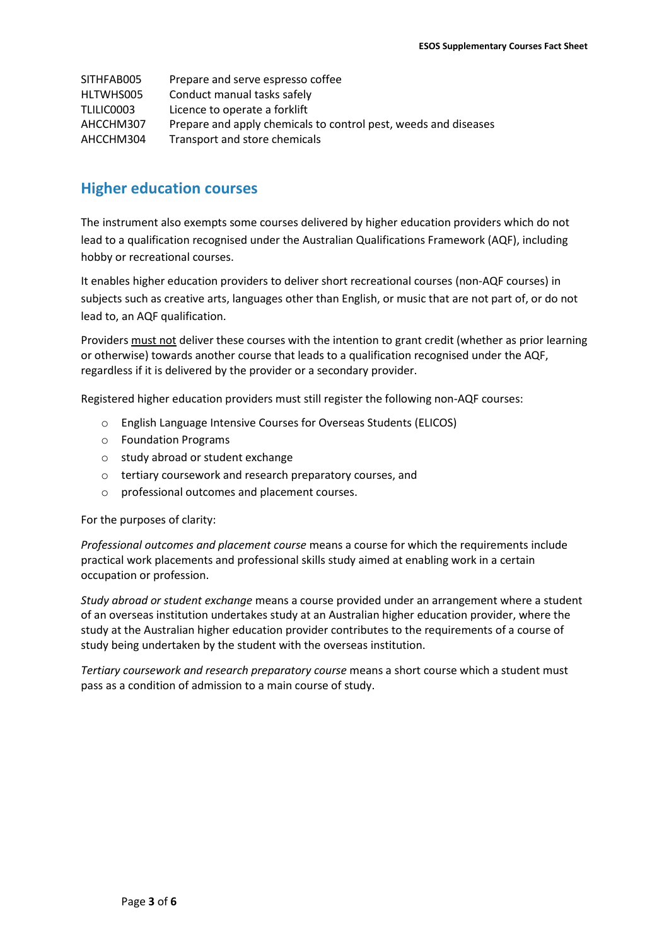| SITHFAB005 | Prepare and serve espresso coffee                               |
|------------|-----------------------------------------------------------------|
| HLTWHS005  | Conduct manual tasks safely                                     |
| TLILIC0003 | Licence to operate a forklift                                   |
| AHCCHM307  | Prepare and apply chemicals to control pest, weeds and diseases |
| AHCCHM304  | Transport and store chemicals                                   |

### **Higher education courses**

The instrument also exempts some courses delivered by higher education providers which do not lead to a qualification recognised under the Australian Qualifications Framework (AQF), including hobby or recreational courses.

It enables higher education providers to deliver short recreational courses (non-AQF courses) in subjects such as creative arts, languages other than English, or music that are not part of, or do not lead to, an AQF qualification.

Providers must not deliver these courses with the intention to grant credit (whether as prior learning or otherwise) towards another course that leads to a qualification recognised under the AQF, regardless if it is delivered by the provider or a secondary provider.

Registered higher education providers must still register the following non-AQF courses:

- o English Language Intensive Courses for Overseas Students (ELICOS)
- o Foundation Programs
- o study abroad or student exchange
- o tertiary coursework and research preparatory courses, and
- o professional outcomes and placement courses.

For the purposes of clarity:

*Professional outcomes and placement course* means a course for which the requirements include practical work placements and professional skills study aimed at enabling work in a certain occupation or profession.

*Study abroad or student exchange* means a course provided under an arrangement where a student of an overseas institution undertakes study at an Australian higher education provider, where the study at the Australian higher education provider contributes to the requirements of a course of study being undertaken by the student with the overseas institution.

*Tertiary coursework and research preparatory course* means a short course which a student must pass as a condition of admission to a main course of study.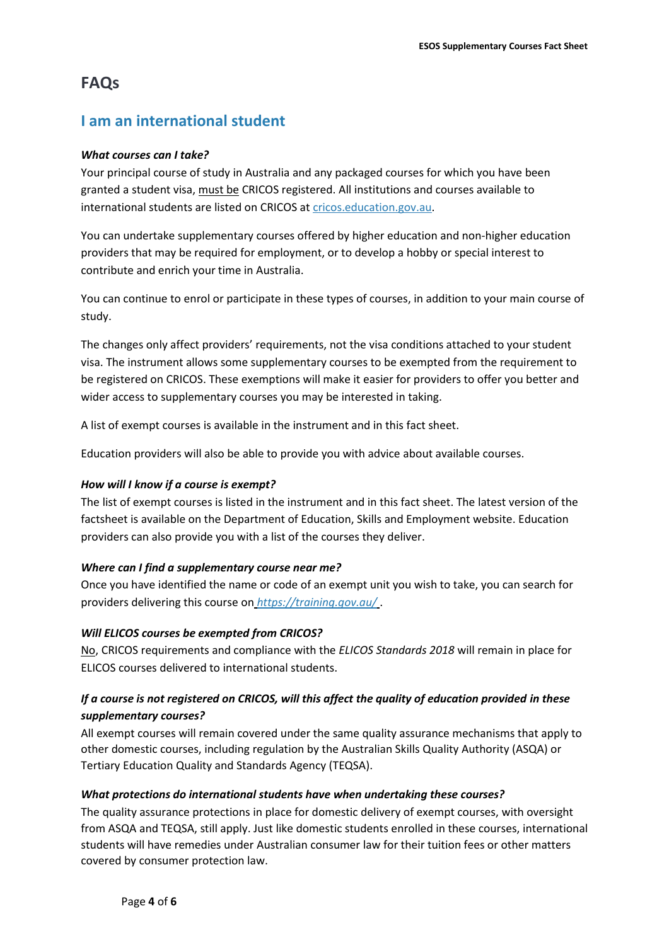# **FAQs**

# **I am an international student**

#### *What courses can I take?*

Your principal course of study in Australia and any packaged courses for which you have been granted a student visa, must be CRICOS registered. All institutions and courses available to international students are listed on CRICOS at [cricos.education.gov.au.](http://cricos.education.gov.au/)

You can undertake supplementary courses offered by higher education and non-higher education providers that may be required for employment, or to develop a hobby or special interest to contribute and enrich your time in Australia.

You can continue to enrol or participate in these types of courses, in addition to your main course of study.

The changes only affect providers' requirements, not the visa conditions attached to your student visa. The instrument allows some supplementary courses to be exempted from the requirement to be registered on CRICOS. These exemptions will make it easier for providers to offer you better and wider access to supplementary courses you may be interested in taking.

A list of exempt courses is available in the instrument and in this fact sheet.

Education providers will also be able to provide you with advice about available courses.

#### *How will I know if a course is exempt?*

The list of exempt courses is listed in the instrument and in this fact sheet. The latest version of the factsheet is available on the Department of Education, Skills and Employment website. Education providers can also provide you with a list of the courses they deliver.

#### *Where can I find a supplementary course near me?*

Once you have identified the name or code of an exempt unit you wish to take, you can search for providers delivering this course on *<https://training.gov.au/>* .

#### *Will ELICOS courses be exempted from CRICOS?*

No, CRICOS requirements and compliance with the *ELICOS Standards 2018* will remain in place for ELICOS courses delivered to international students.

#### *If a course is not registered on CRICOS, will this affect the quality of education provided in these supplementary courses?*

All exempt courses will remain covered under the same quality assurance mechanisms that apply to other domestic courses, including regulation by the Australian Skills Quality Authority (ASQA) or Tertiary Education Quality and Standards Agency (TEQSA).

#### *What protections do international students have when undertaking these courses?*

The quality assurance protections in place for domestic delivery of exempt courses, with oversight from ASQA and TEQSA, still apply. Just like domestic students enrolled in these courses, international students will have remedies under Australian consumer law for their tuition fees or other matters covered by consumer protection law.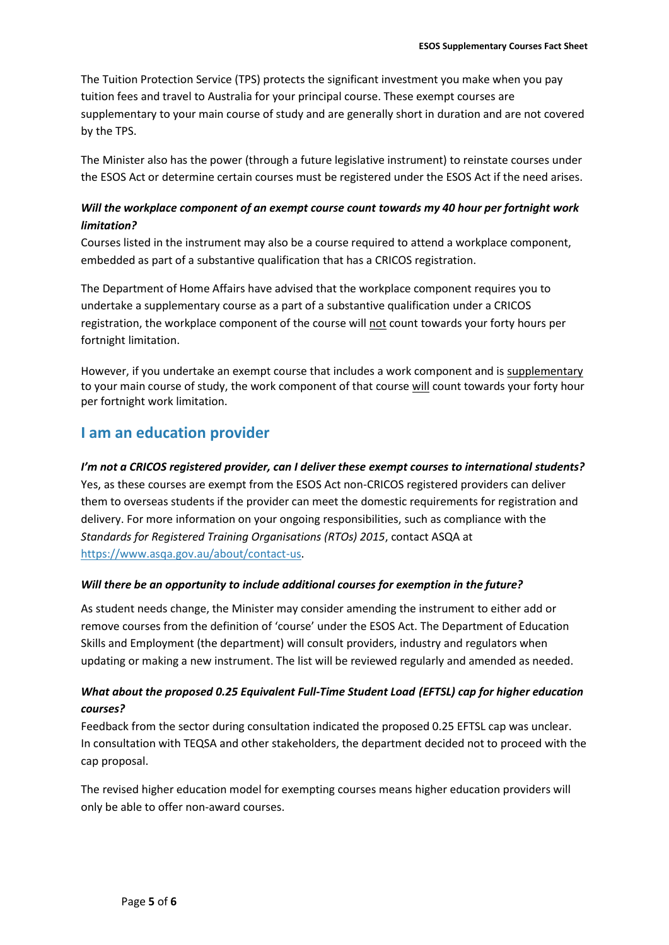The Tuition Protection Service (TPS) protects the significant investment you make when you pay tuition fees and travel to Australia for your principal course. These exempt courses are supplementary to your main course of study and are generally short in duration and are not covered by the TPS.

The Minister also has the power (through a future legislative instrument) to reinstate courses under the ESOS Act or determine certain courses must be registered under the ESOS Act if the need arises.

#### *Will the workplace component of an exempt course count towards my 40 hour per fortnight work limitation?*

Courses listed in the instrument may also be a course required to attend a workplace component, embedded as part of a substantive qualification that has a CRICOS registration.

The Department of Home Affairs have advised that the workplace component requires you to undertake a supplementary course as a part of a substantive qualification under a CRICOS registration, the workplace component of the course will not count towards your forty hours per fortnight limitation.

However, if you undertake an exempt course that includes a work component and is supplementary to your main course of study, the work component of that course will count towards your forty hour per fortnight work limitation.

# **I am an education provider**

#### *I'm not a CRICOS registered provider, can I deliver these exempt courses to international students?*

Yes, as these courses are exempt from the ESOS Act non-CRICOS registered providers can deliver them to overseas students if the provider can meet the domestic requirements for registration and delivery. For more information on your ongoing responsibilities, such as compliance with the *Standards for Registered Training Organisations (RTOs) 2015*, contact ASQA at [https://www.asqa.gov.au/about/contact-us.](https://www.asqa.gov.au/about/contact-us)

#### *Will there be an opportunity to include additional courses for exemption in the future?*

As student needs change, the Minister may consider amending the instrument to either add or remove courses from the definition of 'course' under the ESOS Act. The Department of Education Skills and Employment (the department) will consult providers, industry and regulators when updating or making a new instrument. The list will be reviewed regularly and amended as needed.

#### *What about the proposed 0.25 Equivalent Full-Time Student Load (EFTSL) cap for higher education courses?*

Feedback from the sector during consultation indicated the proposed 0.25 EFTSL cap was unclear. In consultation with TEQSA and other stakeholders, the department decided not to proceed with the cap proposal.

The revised higher education model for exempting courses means higher education providers will only be able to offer non-award courses.